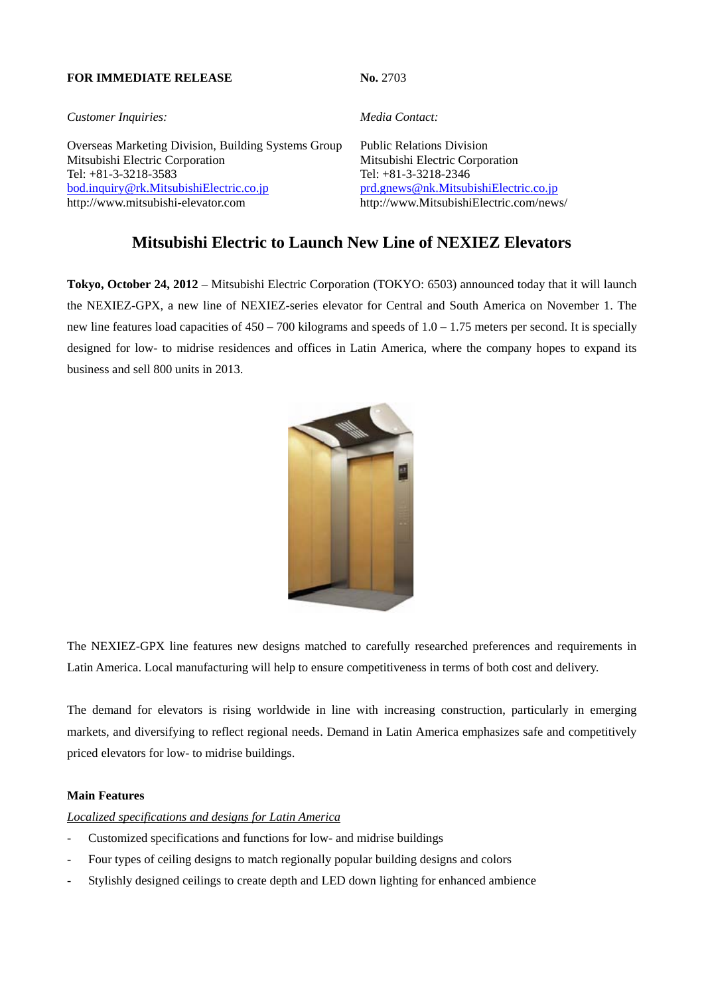#### **FOR IMMEDIATE RELEASE No. 2703**

*Customer Inquiries: Media Contact:*

Overseas Marketing Division, Building Systems Group Public Relations Division Mitsubishi Electric Corporation Mitsubishi Electric Corporation Tel: +81-3-3218-3583 Tel: +81-3-3218-2346 bod.inquiry@rk.MitsubishiElectric.co.jp prd.gnews@nk.MitsubishiElectric.co.jp http://www.mitsubishi-elevator.com http://www.MitsubishiElectric.com/news/

# **Mitsubishi Electric to Launch New Line of NEXIEZ Elevators**

**Tokyo, October 24, 2012** – Mitsubishi Electric Corporation (TOKYO: 6503) announced today that it will launch the NEXIEZ-GPX, a new line of NEXIEZ-series elevator for Central and South America on November 1. The new line features load capacities of  $450 - 700$  kilograms and speeds of  $1.0 - 1.75$  meters per second. It is specially designed for low- to midrise residences and offices in Latin America, where the company hopes to expand its business and sell 800 units in 2013.



The NEXIEZ-GPX line features new designs matched to carefully researched preferences and requirements in Latin America. Local manufacturing will help to ensure competitiveness in terms of both cost and delivery.

The demand for elevators is rising worldwide in line with increasing construction, particularly in emerging markets, and diversifying to reflect regional needs. Demand in Latin America emphasizes safe and competitively priced elevators for low- to midrise buildings.

## **Main Features**

## *Localized specifications and designs for Latin America*

- Customized specifications and functions for low- and midrise buildings
- Four types of ceiling designs to match regionally popular building designs and colors
- Stylishly designed ceilings to create depth and LED down lighting for enhanced ambience